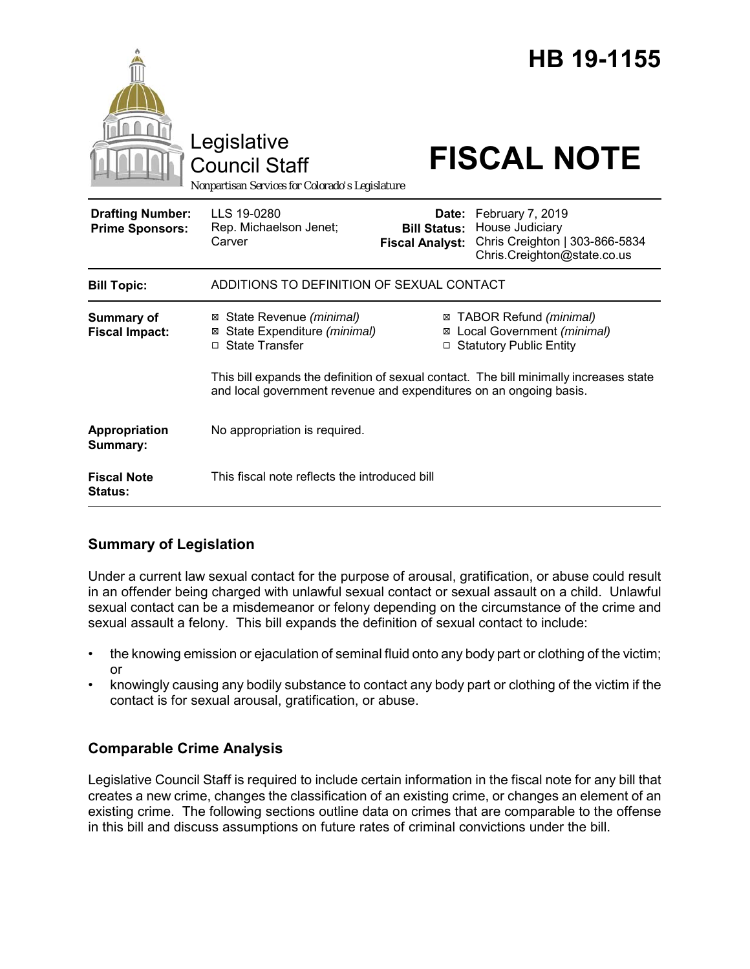|                                                   | Legislative<br><b>Council Staff</b><br>Nonpartisan Services for Colorado's Legislature                                                                       |                                               | HB 19-1155<br><b>FISCAL NOTE</b>                                                                           |
|---------------------------------------------------|--------------------------------------------------------------------------------------------------------------------------------------------------------------|-----------------------------------------------|------------------------------------------------------------------------------------------------------------|
| <b>Drafting Number:</b><br><b>Prime Sponsors:</b> | LLS 19-0280<br>Rep. Michaelson Jenet;<br>Carver                                                                                                              | <b>Bill Status:</b><br><b>Fiscal Analyst:</b> | Date: February 7, 2019<br>House Judiciary<br>Chris Creighton   303-866-5834<br>Chris.Creighton@state.co.us |
| <b>Bill Topic:</b>                                | ADDITIONS TO DEFINITION OF SEXUAL CONTACT                                                                                                                    |                                               |                                                                                                            |
| <b>Summary of</b><br><b>Fiscal Impact:</b>        | ⊠ State Revenue (minimal)<br>⊠ State Expenditure (minimal)<br>□ State Transfer                                                                               |                                               | ⊠ TABOR Refund (minimal)<br>⊠ Local Government (minimal)<br>□ Statutory Public Entity                      |
|                                                   | This bill expands the definition of sexual contact. The bill minimally increases state<br>and local government revenue and expenditures on an ongoing basis. |                                               |                                                                                                            |
| Appropriation<br>Summary:                         | No appropriation is required.                                                                                                                                |                                               |                                                                                                            |
| <b>Fiscal Note</b><br>Status:                     | This fiscal note reflects the introduced bill                                                                                                                |                                               |                                                                                                            |

# **Summary of Legislation**

Under a current law sexual contact for the purpose of arousal, gratification, or abuse could result in an offender being charged with unlawful sexual contact or sexual assault on a child. Unlawful sexual contact can be a misdemeanor or felony depending on the circumstance of the crime and sexual assault a felony. This bill expands the definition of sexual contact to include:

- the knowing emission or ejaculation of seminal fluid onto any body part or clothing of the victim; or
- knowingly causing any bodily substance to contact any body part or clothing of the victim if the contact is for sexual arousal, gratification, or abuse.

# **Comparable Crime Analysis**

Legislative Council Staff is required to include certain information in the fiscal note for any bill that creates a new crime, changes the classification of an existing crime, or changes an element of an existing crime. The following sections outline data on crimes that are comparable to the offense in this bill and discuss assumptions on future rates of criminal convictions under the bill.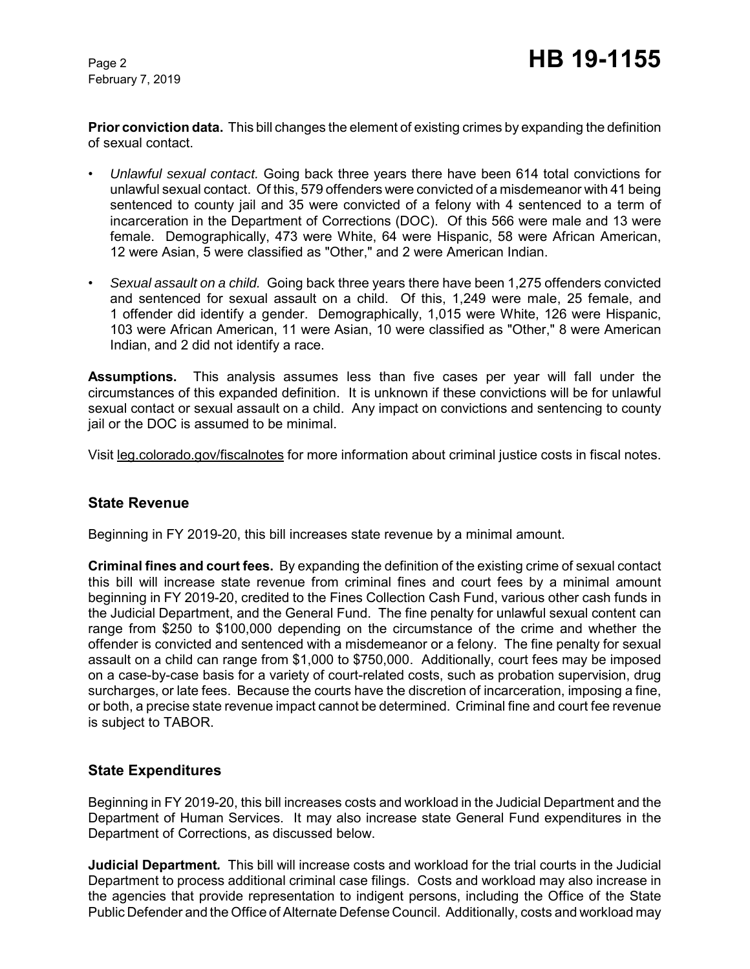February 7, 2019

**Prior conviction data.** This bill changes the element of existing crimes by expanding the definition of sexual contact.

- *Unlawful sexual contact.* Going back three years there have been 614 total convictions for unlawful sexual contact. Of this, 579 offenders were convicted of a misdemeanor with 41 being sentenced to county jail and 35 were convicted of a felony with 4 sentenced to a term of incarceration in the Department of Corrections (DOC). Of this 566 were male and 13 were female. Demographically, 473 were White, 64 were Hispanic, 58 were African American, 12 were Asian, 5 were classified as "Other," and 2 were American Indian.
- *Sexual assault on a child.* Going back three years there have been 1,275 offenders convicted and sentenced for sexual assault on a child. Of this, 1,249 were male, 25 female, and 1 offender did identify a gender. Demographically, 1,015 were White, 126 were Hispanic, 103 were African American, 11 were Asian, 10 were classified as "Other," 8 were American Indian, and 2 did not identify a race.

**Assumptions.** This analysis assumes less than five cases per year will fall under the circumstances of this expanded definition. It is unknown if these convictions will be for unlawful sexual contact or sexual assault on a child. Any impact on convictions and sentencing to county jail or the DOC is assumed to be minimal.

Visit leg.colorado.gov/fiscalnotes for more information about criminal justice costs in fiscal notes.

#### **State Revenue**

Beginning in FY 2019-20, this bill increases state revenue by a minimal amount.

**Criminal fines and court fees.** By expanding the definition of the existing crime of sexual contact this bill will increase state revenue from criminal fines and court fees by a minimal amount beginning in FY 2019-20, credited to the Fines Collection Cash Fund, various other cash funds in the Judicial Department, and the General Fund. The fine penalty for unlawful sexual content can range from \$250 to \$100,000 depending on the circumstance of the crime and whether the offender is convicted and sentenced with a misdemeanor or a felony. The fine penalty for sexual assault on a child can range from \$1,000 to \$750,000. Additionally, court fees may be imposed on a case-by-case basis for a variety of court-related costs, such as probation supervision, drug surcharges, or late fees. Because the courts have the discretion of incarceration, imposing a fine, or both, a precise state revenue impact cannot be determined. Criminal fine and court fee revenue is subject to TABOR.

#### **State Expenditures**

Beginning in FY 2019-20, this bill increases costs and workload in the Judicial Department and the Department of Human Services. It may also increase state General Fund expenditures in the Department of Corrections, as discussed below.

**Judicial Department***.* This bill will increase costs and workload for the trial courts in the Judicial Department to process additional criminal case filings. Costs and workload may also increase in the agencies that provide representation to indigent persons, including the Office of the State Public Defender and the Office of Alternate Defense Council. Additionally, costs and workload may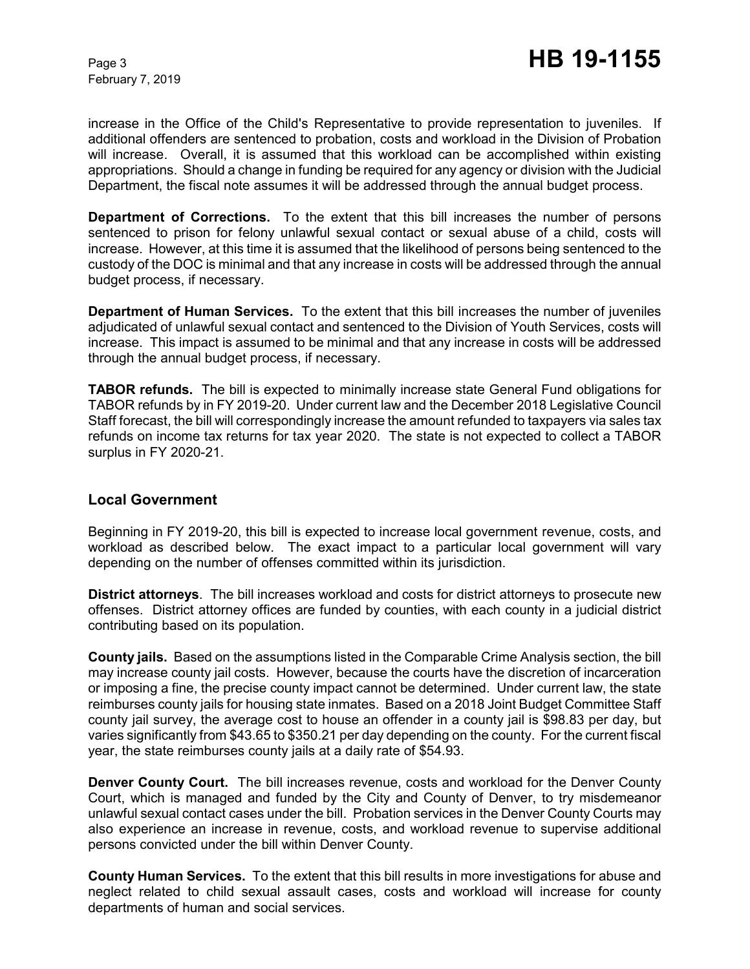February 7, 2019

increase in the Office of the Child's Representative to provide representation to juveniles. If additional offenders are sentenced to probation, costs and workload in the Division of Probation will increase. Overall, it is assumed that this workload can be accomplished within existing appropriations. Should a change in funding be required for any agency or division with the Judicial Department, the fiscal note assumes it will be addressed through the annual budget process.

**Department of Corrections.** To the extent that this bill increases the number of persons sentenced to prison for felony unlawful sexual contact or sexual abuse of a child, costs will increase. However, at this time it is assumed that the likelihood of persons being sentenced to the custody of the DOC is minimal and that any increase in costs will be addressed through the annual budget process, if necessary.

**Department of Human Services.** To the extent that this bill increases the number of juveniles adjudicated of unlawful sexual contact and sentenced to the Division of Youth Services, costs will increase. This impact is assumed to be minimal and that any increase in costs will be addressed through the annual budget process, if necessary.

**TABOR refunds.** The bill is expected to minimally increase state General Fund obligations for TABOR refunds by in FY 2019-20. Under current law and the December 2018 Legislative Council Staff forecast, the bill will correspondingly increase the amount refunded to taxpayers via sales tax refunds on income tax returns for tax year 2020. The state is not expected to collect a TABOR surplus in FY 2020-21.

#### **Local Government**

Beginning in FY 2019-20, this bill is expected to increase local government revenue, costs, and workload as described below. The exact impact to a particular local government will vary depending on the number of offenses committed within its jurisdiction.

**District attorneys**. The bill increases workload and costs for district attorneys to prosecute new offenses. District attorney offices are funded by counties, with each county in a judicial district contributing based on its population.

**County jails.** Based on the assumptions listed in the Comparable Crime Analysis section, the bill may increase county jail costs. However, because the courts have the discretion of incarceration or imposing a fine, the precise county impact cannot be determined. Under current law, the state reimburses county jails for housing state inmates. Based on a 2018 Joint Budget Committee Staff county jail survey, the average cost to house an offender in a county jail is \$98.83 per day, but varies significantly from \$43.65 to \$350.21 per day depending on the county. For the current fiscal year, the state reimburses county jails at a daily rate of \$54.93.

**Denver County Court.** The bill increases revenue, costs and workload for the Denver County Court, which is managed and funded by the City and County of Denver, to try misdemeanor unlawful sexual contact cases under the bill. Probation services in the Denver County Courts may also experience an increase in revenue, costs, and workload revenue to supervise additional persons convicted under the bill within Denver County.

**County Human Services.** To the extent that this bill results in more investigations for abuse and neglect related to child sexual assault cases, costs and workload will increase for county departments of human and social services.